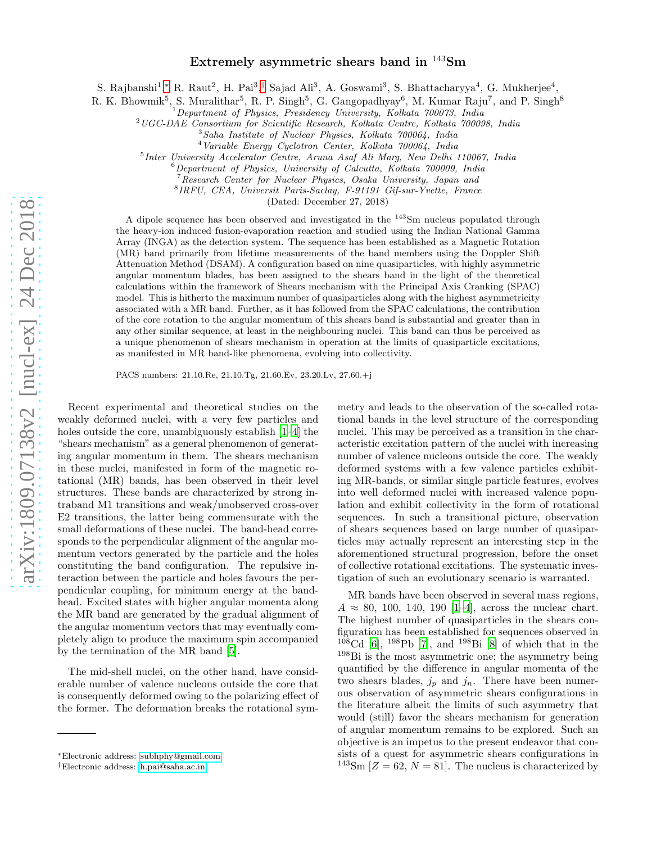## Extremely asymmetric shears band in <sup>143</sup>Sm

S. Rajbanshi<sup>1</sup>,\* R. Raut<sup>2</sup>, H. Pai<sup>3</sup>,<sup>[†](#page-0-1)</sup> Sajad Ali<sup>3</sup>, A. Goswami<sup>3</sup>, S. Bhattacharyya<sup>4</sup>, G. Mukherjee<sup>4</sup>,

R. K. Bhowmik<sup>5</sup>, S. Muralithar<sup>5</sup>, R. P. Singh<sup>5</sup>, G. Gangopadhyay<sup>6</sup>, M. Kumar Raju<sup>7</sup>, and P. Singh<sup>8</sup>

<sup>1</sup>Department of Physics, Presidency University, Kolkata 700073, India

<sup>2</sup>UGC-DAE Consortium for Scientific Research, Kolkata Centre, Kolkata 700098, India

5 Inter University Accelerator Centre, Aruna Asaf Ali Marg, New Delhi 110067, India

 $6$ Department of Physics, University of Calcutta, Kolkata 700009, India

<sup>7</sup> Research Center for Nuclear Physics, Osaka University, Japan and

8 IRFU, CEA, Universit Paris-Saclay, F-91191 Gif-sur-Yvette, France

(Dated: December 27, 2018)

A dipole sequence has been observed and investigated in the  $143$ Sm nucleus populated through the heavy-ion induced fusion-evaporation reaction and studied using the Indian National Gamma Array (INGA) as the detection system. The sequence has been established as a Magnetic Rotation (MR) band primarily from lifetime measurements of the band members using the Doppler Shift Attenuation Method (DSAM). A configuration based on nine quasiparticles, with highly asymmetric angular momentum blades, has been assigned to the shears band in the light of the theoretical calculations within the framework of Shears mechanism with the Principal Axis Cranking (SPAC) model. This is hitherto the maximum number of quasiparticles along with the highest asymmetricity associated with a MR band. Further, as it has followed from the SPAC calculations, the contribution of the core rotation to the angular momentum of this shears band is substantial and greater than in any other similar sequence, at least in the neighbouring nuclei. This band can thus be perceived as a unique phenomenon of shears mechanism in operation at the limits of quasiparticle excitations, as manifested in MR band-like phenomena, evolving into collectivity.

PACS numbers: 21.10.Re, 21.10.Tg, 21.60.Ev, 23.20.Lv, 27.60.+j

Recent experimental and theoretical studies on the weakly deformed nuclei, with a very few particles and holes outside the core, unambiguously establish [\[1](#page-4-0)[–4\]](#page-5-0) the "shears mechanism" as a general phenomenon of generating angular momentum in them. The shears mechanism in these nuclei, manifested in form of the magnetic rotational (MR) bands, has been observed in their level structures. These bands are characterized by strong intraband M1 transitions and weak/unobserved cross-over E2 transitions, the latter being commensurate with the small deformations of these nuclei. The band-head corresponds to the perpendicular alignment of the angular momentum vectors generated by the particle and the holes constituting the band configuration. The repulsive interaction between the particle and holes favours the perpendicular coupling, for minimum energy at the bandhead. Excited states with higher angular momenta along the MR band are generated by the gradual alignment of the angular momentum vectors that may eventually completely align to produce the maximum spin accompanied by the termination of the MR band [\[5](#page-5-1)].

The mid-shell nuclei, on the other hand, have considerable number of valence nucleons outside the core that is consequently deformed owing to the polarizing effect of the former. The deformation breaks the rotational symmetry and leads to the observation of the so-called rotational bands in the level structure of the corresponding nuclei. This may be perceived as a transition in the characteristic excitation pattern of the nuclei with increasing number of valence nucleons outside the core. The weakly deformed systems with a few valence particles exhibiting MR-bands, or similar single particle features, evolves into well deformed nuclei with increased valence population and exhibit collectivity in the form of rotational sequences. In such a transitional picture, observation of shears sequences based on large number of quasiparticles may actually represent an interesting step in the aforementioned structural progression, before the onset of collective rotational excitations. The systematic investigation of such an evolutionary scenario is warranted.

MR bands have been observed in several mass regions,  $A \approx 80, 100, 140, 190$  [\[1](#page-4-0)[–4\]](#page-5-0), across the nuclear chart. The highest number of quasiparticles in the shears configuration has been established for sequences observed in <sup>108</sup>Cd [\[6](#page-5-2)], <sup>198</sup>Pb [\[7\]](#page-5-3), and <sup>198</sup>Bi [\[8\]](#page-5-4) of which that in the <sup>198</sup>Bi is the most asymmetric one; the asymmetry being quantified by the difference in angular momenta of the two shears blades,  $j_p$  and  $j_n$ . There have been numerous observation of asymmetric shears configurations in the literature albeit the limits of such asymmetry that would (still) favor the shears mechanism for generation of angular momentum remains to be explored. Such an objective is an impetus to the present endeavor that consists of a quest for asymmetric shears configurations in <sup>143</sup>Sm  $[Z = 62, N = 81]$ . The nucleus is characterized by

<sup>3</sup>Saha Institute of Nuclear Physics, Kolkata 700064, India

<sup>4</sup>Variable Energy Cyclotron Center, Kolkata 700064, India

<span id="page-0-0"></span><sup>∗</sup>Electronic address: [subhphy@gmail.com](mailto:subhphy@gmail.com)

<span id="page-0-1"></span><sup>†</sup>Electronic address: [h.pai@saha.ac.in](mailto:h.pai@saha.ac.in)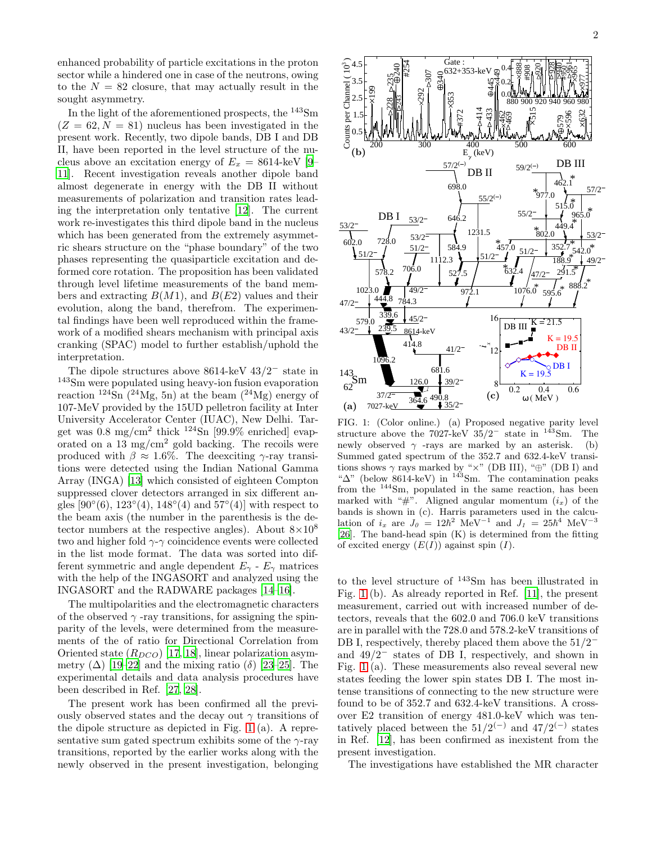enhanced probability of particle excitations in the proton sector while a hindered one in case of the neutrons, owing to the  $N = 82$  closure, that may actually result in the sought asymmetry.

In the light of the aforementioned prospects, the <sup>143</sup>Sm  $(Z = 62, N = 81)$  nucleus has been investigated in the present work. Recently, two dipole bands, DB I and DB II, have been reported in the level structure of the nucleus above an excitation energy of  $E_x = 8614$ -keV [\[9](#page-5-5)– [11\]](#page-5-6). Recent investigation reveals another dipole band almost degenerate in energy with the DB II without measurements of polarization and transition rates leading the interpretation only tentative [\[12](#page-5-7)]. The current work re-investigates this third dipole band in the nucleus which has been generated from the extremely asymmetric shears structure on the "phase boundary" of the two phases representing the quasiparticle excitation and deformed core rotation. The proposition has been validated through level lifetime measurements of the band members and extracting  $B(M1)$ , and  $B(E2)$  values and their evolution, along the band, therefrom. The experimental findings have been well reproduced within the framework of a modified shears mechanism with principal axis cranking (SPAC) model to further establish/uphold the interpretation.

The dipole structures above 8614-keV 43/2<sup>−</sup> state in <sup>143</sup>Sm were populated using heavy-ion fusion evaporation reaction  $^{124}\text{Sn}$  ( $^{24}\text{Mg}$ , 5n) at the beam ( $^{24}\text{Mg}$ ) energy of 107-MeV provided by the 15UD pelletron facility at Inter University Accelerator Center (IUAC), New Delhi. Target was  $0.8 \text{ mg/cm}^2$  thick  $124\text{Sn}$  [99.9% enriched] evaporated on a 13 mg/ $\text{cm}^2$  gold backing. The recoils were produced with  $\beta \approx 1.6\%$ . The deexciting γ-ray transitions were detected using the Indian National Gamma Array (INGA) [\[13](#page-5-8)] which consisted of eighteen Compton suppressed clover detectors arranged in six different angles  $[90^{\circ}(6), 123^{\circ}(4), 148^{\circ}(4)$  and  $57^{\circ}(4)]$  with respect to the beam axis (the number in the parenthesis is the detector numbers at the respective angles). About  $8\times10^8$ two and higher fold  $\gamma$ - $\gamma$  coincidence events were collected in the list mode format. The data was sorted into different symmetric and angle dependent  $E_{\gamma}$  -  $E_{\gamma}$  matrices with the help of the INGASORT and analyzed using the INGASORT and the RADWARE packages [\[14](#page-5-9)[–16](#page-5-10)].

The multipolarities and the electromagnetic characters of the observed  $\gamma$  -ray transitions, for assigning the spinparity of the levels, were determined from the measurements of the of ratio for Directional Correlation from Oriented state  $(R_{DCO})$  [\[17,](#page-5-11) [18\]](#page-5-12), linear polarization asymmetry  $(\Delta)$  [\[19](#page-5-13)[–22\]](#page-5-14) and the mixing ratio  $(\delta)$  [\[23](#page-5-15)[–25](#page-5-16)]. The experimental details and data analysis procedures have been described in Ref. [\[27,](#page-5-17) [28\]](#page-5-18).

The present work has been confirmed all the previously observed states and the decay out  $\gamma$  transitions of the dipole structure as depicted in Fig. [1](#page-1-0) (a). A representative sum gated spectrum exhibits some of the  $\gamma$ -ray transitions, reported by the earlier works along with the newly observed in the present investigation, belonging



<span id="page-1-0"></span>FIG. 1: (Color online.) (a) Proposed negative parity level structure above the 7027-keV  $35/2^-$  state in  $143$ Sm. The newly observed  $\gamma$  -rays are marked by an asterisk. (b) Summed gated spectrum of the 352.7 and 632.4-keV transitions shows  $\gamma$  rays marked by " $\times$ " (DB III), " $\oplus$ " (DB I) and " $\Delta$ " (below 8614-keV) in <sup>143</sup>Sm. The contamination peaks from the <sup>144</sup>Sm, populated in the same reaction, has been marked with "#". Aligned angular momentum  $(i_x)$  of the bands is shown in (c). Harris parameters used in the calculation of  $i_x$  are  $J_\theta = 12\hbar^2$  MeV<sup>-1</sup> and  $J_1 = 25\hbar^4$  MeV<sup>-3</sup> [\[26\]](#page-5-19). The band-head spin  $(K)$  is determined from the fitting of excited energy  $(E(I))$  against spin  $(I)$ .

to the level structure of <sup>143</sup>Sm has been illustrated in Fig. [1](#page-1-0) (b). As already reported in Ref. [\[11\]](#page-5-6), the present measurement, carried out with increased number of detectors, reveals that the 602.0 and 706.0 keV transitions are in parallel with the 728.0 and 578.2-keV transitions of DB I, respectively, thereby placed them above the  $51/2<sup>−</sup>$ and 49/2<sup>−</sup> states of DB I, respectively, and shown in Fig. [1](#page-1-0) (a). These measurements also reveal several new states feeding the lower spin states DB I. The most intense transitions of connecting to the new structure were found to be of 352.7 and 632.4-keV transitions. A crossover E2 transition of energy 481.0-keV which was tentatively placed between the  $51/2^{(-)}$  and  $47/2^{(-)}$  states in Ref. [\[12\]](#page-5-7), has been confirmed as inexistent from the present investigation.

The investigations have established the MR character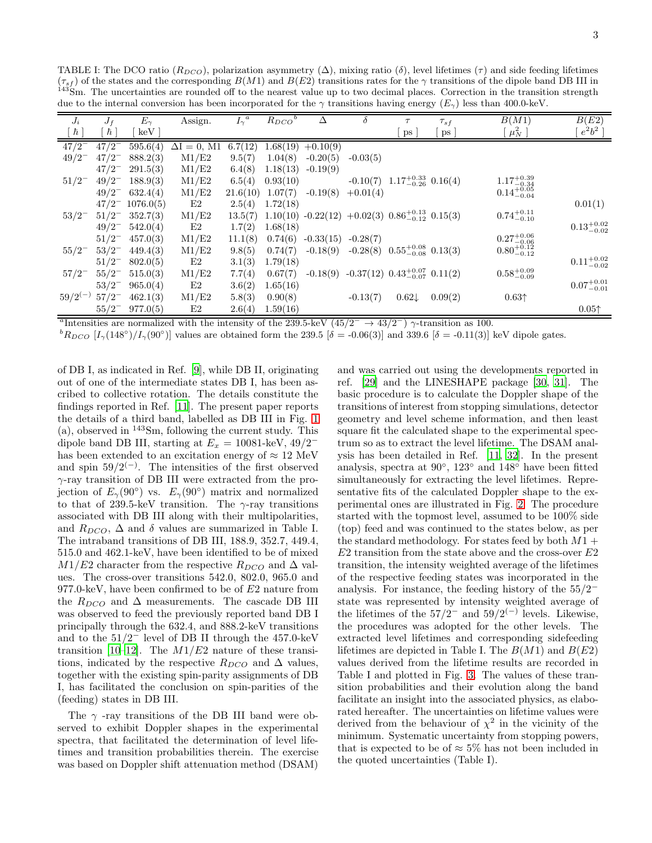| SIII. The uncertainties are rounded on to the hearest value up to two declinar places. Correction in the transition strength<br>due to the internal conversion has been incorporated for the $\gamma$ transitions having energy ( $E_{\gamma}$ ) less than 400.0-keV. |            |              |                  |                  |                        |             |            |                                                                    |              |                        |                        |
|-----------------------------------------------------------------------------------------------------------------------------------------------------------------------------------------------------------------------------------------------------------------------|------------|--------------|------------------|------------------|------------------------|-------------|------------|--------------------------------------------------------------------|--------------|------------------------|------------------------|
| $J_i$                                                                                                                                                                                                                                                                 | $J_f$      | $E_{\gamma}$ | Assign.          | $I_{\gamma}{}^a$ | $R_{DCO}$ <sup>b</sup> |             | δ          |                                                                    | $\tau_{s}$ f | B(M1)                  | B(E2)                  |
| $\hbar$                                                                                                                                                                                                                                                               | ħ          | keV          |                  |                  |                        |             |            | $_{\rm{DS}}$                                                       | ps           | $\mu_N^2$              | $e^2b^2$               |
| $47/2^{-}$                                                                                                                                                                                                                                                            | $47/2^{-}$ | 595.6(4)     | $= 0$ , M1<br>ΔΙ | 6.7(12)          | 1.68(19)               | $+0.10(9)$  |            |                                                                    |              |                        |                        |
| $49/2^{-}$                                                                                                                                                                                                                                                            | $47/2^{-}$ | 888.2(3)     | M1/E2            | 9.5(7)           | 1.04(8)                | $-0.20(5)$  | $-0.03(5)$ |                                                                    |              |                        |                        |
|                                                                                                                                                                                                                                                                       | $47/2^{-}$ | 291.5(3)     | M1/E2            | 6.4(8)           | 1.18(13)               | $-0.19(9)$  |            |                                                                    |              |                        |                        |
| $51/2^{-}$                                                                                                                                                                                                                                                            | $49/2^{-}$ | 188.9(3)     | M1/E2            | 6.5(4)           | 0.93(10)               |             | $-0.10(7)$ | $1.17^{+0.33}_{-0.26}$ 0.16(4)                                     |              | $1.17^{+0.39}_{-0.34}$ |                        |
|                                                                                                                                                                                                                                                                       | $49/2^{-}$ | 632.4(4)     | $\rm M1/E2$      | 21.6(10)         | 1.07(7)                | $-0.19(8)$  | $+0.01(4)$ |                                                                    |              | $0.14^{+0.05}_{-0.04}$ |                        |
|                                                                                                                                                                                                                                                                       | $47/2^{-}$ | 1076.0(5)    | E2               | 2.5(4)           | 1.72(18)               |             |            |                                                                    |              |                        | 0.01(1)                |
| $53/2^{-}$                                                                                                                                                                                                                                                            | $51/2^{-}$ | 352.7(3)     | M1/E2            | 13.5(7)          |                        |             |            | $1.10(10)$ $-0.22(12)$ $+0.02(3)$ $0.86^{+0.13}_{-0.12}$ $0.15(3)$ |              | $0.74^{+0.11}_{-0.10}$ |                        |
|                                                                                                                                                                                                                                                                       | $49/2^{-}$ | 542.0(4)     | E2               | 1.7(2)           | 1.68(18)               |             |            |                                                                    |              |                        | $0.13_{-0.02}^{+0.02}$ |
|                                                                                                                                                                                                                                                                       | $51/2^{-}$ | 457.0(3)     | M1/E2            | 11.1(8)          | 0.74(6)                | $-0.33(15)$ | $-0.28(7)$ |                                                                    |              | $0.27^{+0.06}_{-0.06}$ |                        |
| $55/2^{-}$                                                                                                                                                                                                                                                            | $53/2^{-}$ | 449.4(3)     | M1/E2            | 9.8(5)           | 0.74(7)                | $-0.18(9)$  |            | $-0.28(8)$ $0.55^{+0.08}_{-0.08}$ $0.13(3)$                        |              | $0.80^{+0.12}_{-0.12}$ |                        |
|                                                                                                                                                                                                                                                                       | $51/2^{-}$ | 802.0(5)     | E2               | 3.1(3)           | 1.79(18)               |             |            |                                                                    |              |                        | $0.11^{+0.02}_{-0.02}$ |
| $57/2^{-}$                                                                                                                                                                                                                                                            | $55/2^{-}$ | 515.0(3)     | M1/E2            | 7.7(4)           | 0.67(7)                |             |            | $-0.18(9)$ $-0.37(12)$ $0.43^{+0.07}_{-0.07}$ $0.11(2)$            |              | $0.58^{+0.09}_{-0.09}$ |                        |
|                                                                                                                                                                                                                                                                       | $53/2^{-}$ | 965.0(4)     | E2               | 3.6(2)           | 1.65(16)               |             |            |                                                                    |              |                        | $0.07^{+0.01}_{-0.01}$ |
| $59/2^{(-)}$                                                                                                                                                                                                                                                          | $57/2^{-}$ | 462.1(3)     | M1/E2            | 5.8(3)           | 0.90(8)                |             | $-0.13(7)$ | $0.62\downarrow$                                                   | 0.09(2)      | 0.63 <sup>†</sup>      |                        |

 $55/2^-$  977.0(5) E2 2.6(4) 1.59(16) 0.05↑

<span id="page-2-0"></span>TABLE I: The DCO ratio  $(R_{DCO})$ , polarization asymmetry  $(\Delta)$ , mixing ratio  $(\delta)$ , level lifetimes  $(\tau)$  and side feeding lifetimes  $(\tau_{sf})$  of the states and the corresponding  $B(M1)$  and  $B(E2)$  transitions rates for the  $\gamma$  transitions of the dipole band DB III in The uncertainties are rounded off to the nearest value up to two decimal places. Correction in the transition str

<sup>a</sup>Intensities are normalized with the intensity of the 239.5-keV ( $45/2^- \rightarrow 43/2^-$ )  $\gamma$ -transition as 100.

 $b_{R_{DCO}}$  [I<sub>γ</sub>(148<sup>°</sup>)/I<sub>γ</sub>(90<sup>°</sup>)] values are obtained form the 239.5 [ $\delta$  = -0.06(3)] and 339.6 [ $\delta$  = -0.11(3)] keV dipole gates.

of DB I, as indicated in Ref. [\[9](#page-5-5)], while DB II, originating out of one of the intermediate states DB I, has been ascribed to collective rotation. The details constitute the findings reported in Ref. [\[11\]](#page-5-6). The present paper reports the details of a third band, labelled as DB III in Fig. [1](#page-1-0) (a), observed in <sup>143</sup>Sm, following the current study. This dipole band DB III, starting at  $E_x = 10081$ -keV, 49/2<sup>−</sup> has been extended to an excitation energy of  $\approx 12$  MeV and spin  $59/2$ <sup>(−)</sup>. The intensities of the first observed γ-ray transition of DB III were extracted from the projection of  $E_{\gamma}(90^{\circ})$  vs.  $E_{\gamma}(90^{\circ})$  matrix and normalized to that of 239.5-keV transition. The  $\gamma$ -ray transitions associated with DB III along with their multipolarities, and  $R_{DCO}$ ,  $\Delta$  and  $\delta$  values are summarized in Table I. The intraband transitions of DB III, 188.9, 352.7, 449.4, 515.0 and 462.1-keV, have been identified to be of mixed  $M1/E2$  character from the respective  $R_{DCO}$  and  $\Delta$  values. The cross-over transitions 542.0, 802.0, 965.0 and 977.0-keV, have been confirmed to be of  $E2$  nature from the  $R_{DCO}$  and  $\Delta$  measurements. The cascade DB III was observed to feed the previously reported band DB I principally through the 632.4, and 888.2-keV transitions and to the  $51/2^-$  level of DB II through the 457.0-keV transition [\[10](#page-5-20)[–12](#page-5-7)]. The  $M1/E2$  nature of these transitions, indicated by the respective  $R_{DCO}$  and  $\Delta$  values, together with the existing spin-parity assignments of DB I, has facilitated the conclusion on spin-parities of the (feeding) states in DB III.

The  $\gamma$ -ray transitions of the DB III band were observed to exhibit Doppler shapes in the experimental spectra, that facilitated the determination of level lifetimes and transition probabilities therein. The exercise was based on Doppler shift attenuation method (DSAM)

and was carried out using the developments reported in ref. [\[29\]](#page-5-21) and the LINESHAPE package [\[30](#page-5-22), [31\]](#page-5-23). The basic procedure is to calculate the Doppler shape of the transitions of interest from stopping simulations, detector geometry and level scheme information, and then least square fit the calculated shape to the experimental spectrum so as to extract the level lifetime. The DSAM analysis has been detailed in Ref. [\[11](#page-5-6), [32](#page-5-24)]. In the present analysis, spectra at 90◦ , 123◦ and 148◦ have been fitted simultaneously for extracting the level lifetimes. Representative fits of the calculated Doppler shape to the experimental ones are illustrated in Fig. [2.](#page-3-0) The procedure started with the topmost level, assumed to be 100% side (top) feed and was continued to the states below, as per the standard methodology. For states feed by both  $M1 +$  $E2$  transition from the state above and the cross-over  $E2$ transition, the intensity weighted average of the lifetimes of the respective feeding states was incorporated in the analysis. For instance, the feeding history of the 55/2<sup>−</sup> state was represented by intensity weighted average of the lifetimes of the  $57/2^-$  and  $59/2^{(-)}$  levels. Likewise, the procedures was adopted for the other levels. The extracted level lifetimes and corresponding sidefeeding lifetimes are depicted in Table I. The  $B(M1)$  and  $B(E2)$ values derived from the lifetime results are recorded in Table I and plotted in Fig. [3.](#page-3-1) The values of these transition probabilities and their evolution along the band facilitate an insight into the associated physics, as elaborated hereafter. The uncertainties on lifetime values were derived from the behaviour of  $\chi^2$  in the vicinity of the minimum. Systematic uncertainty from stopping powers, that is expected to be of  $\approx 5\%$  has not been included in the quoted uncertainties (Table I).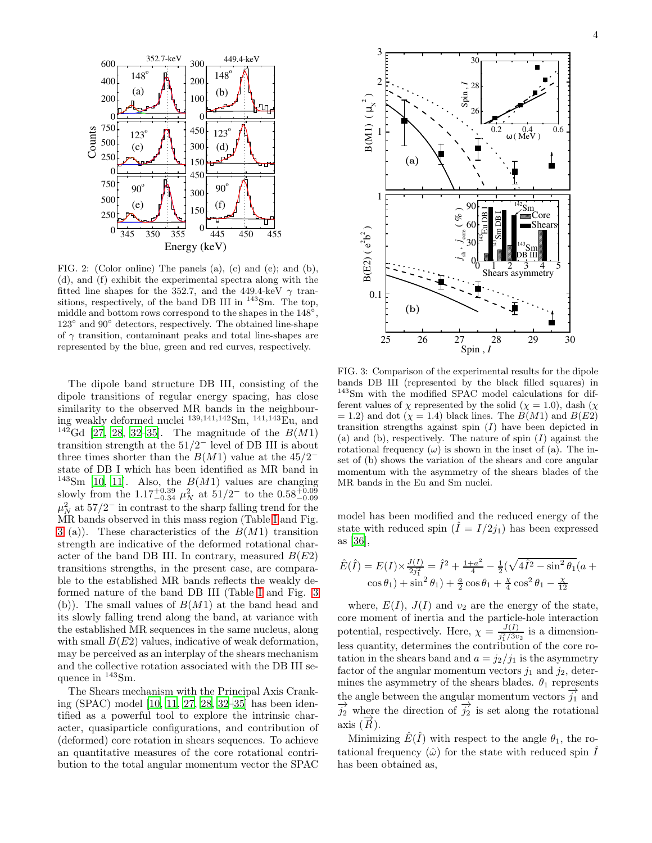

<span id="page-3-0"></span>FIG. 2: (Color online) The panels (a), (c) and (e); and (b), (d), and (f) exhibit the experimental spectra along with the fitted line shapes for the 352.7, and the 449.4-keV  $\gamma$  transitions, respectively, of the band DB III in <sup>143</sup>Sm. The top, middle and bottom rows correspond to the shapes in the  $148^{\circ}$ , 123◦ and 90◦ detectors, respectively. The obtained line-shape of  $\gamma$  transition, contaminant peaks and total line-shapes are represented by the blue, green and red curves, respectively.

The dipole band structure DB III, consisting of the dipole transitions of regular energy spacing, has close similarity to the observed MR bands in the neighbouring weakly deformed nuclei <sup>139</sup>,141,<sup>142</sup>Sm, <sup>141</sup>,<sup>143</sup>Eu, and <sup>142</sup>Gd [\[27,](#page-5-17) [28](#page-5-18), [32](#page-5-24)[–35\]](#page-5-25). The magnitude of the  $B(M1)$ transition strength at the 51/2<sup>−</sup> level of DB III is about three times shorter than the  $B(M1)$  value at the 45/2<sup>−</sup> state of DB I which has been identified as MR band in <sup>143</sup>Sm [\[10,](#page-5-20) [11](#page-5-6)]. Also, the  $B(M1)$  values are changing slowly from the 1.17<sup>+0.39</sup>  $\mu_N^2$  at 51/2<sup>-</sup> to the 0.58<sup>+0.09</sup><sup>-0.09</sup>  $\mu_N^2$  at 57/2<sup>-</sup> in contrast to the sharp falling trend for the MR bands observed in this mass region (Table [I](#page-2-0) and Fig. [3](#page-3-1) (a)). These characteristics of the  $B(M1)$  transition strength are indicative of the deformed rotational character of the band DB III. In contrary, measured  $B(E2)$ transitions strengths, in the present case, are comparable to the established MR bands reflects the weakly deformed nature of the band DB III (Table [I](#page-2-0) and Fig. [3](#page-3-1) (b)). The small values of  $B(M1)$  at the band head and its slowly falling trend along the band, at variance with the established MR sequences in the same nucleus, along with small  $B(E2)$  values, indicative of weak deformation, may be perceived as an interplay of the shears mechanism and the collective rotation associated with the DB III sequence in <sup>143</sup>Sm.

The Shears mechanism with the Principal Axis Cranking (SPAC) model [\[10](#page-5-20), [11](#page-5-6), [27,](#page-5-17) [28,](#page-5-18) [32](#page-5-24)[–35\]](#page-5-25) has been identified as a powerful tool to explore the intrinsic character, quasiparticle configurations, and contribution of (deformed) core rotation in shears sequences. To achieve an quantitative measures of the core rotational contribution to the total angular momentum vector the SPAC



<span id="page-3-1"></span>FIG. 3: Comparison of the experimental results for the dipole bands DB III (represented by the black filled squares) in <sup>143</sup>Sm with the modified SPAC model calculations for different values of  $\chi$  represented by the solid ( $\chi = 1.0$ ), dash ( $\chi$ )  $= 1.2$ ) and dot ( $\chi = 1.4$ ) black lines. The  $B(M1)$  and  $B(E2)$ transition strengths against spin  $(I)$  have been depicted in (a) and (b), respectively. The nature of spin  $(I)$  against the rotational frequency  $(\omega)$  is shown in the inset of (a). The inset of (b) shows the variation of the shears and core angular momentum with the asymmetry of the shears blades of the MR bands in the Eu and Sm nuclei.

model has been modified and the reduced energy of the state with reduced spin  $(I = I/2j_1)$  has been expressed as [\[36](#page-5-26)],

$$
\hat{E}(\hat{I}) = E(I) \times \frac{J(I)}{2j_1^2} = \hat{I}^2 + \frac{1+a^2}{4} - \frac{1}{2}(\sqrt{4\hat{I}^2 - \sin^2\theta_1}(a + \cos\theta_1) + \sin^2\theta_1) + \frac{a}{2}\cos\theta_1 + \frac{\chi}{4}\cos^2\theta_1 - \frac{\chi}{12}
$$

where,  $E(I)$ ,  $J(I)$  and  $v_2$  are the energy of the state, core moment of inertia and the particle-hole interaction potential, respectively. Here,  $\chi = \frac{J(I)}{i^2/3v}$  $\frac{J(1)}{j_1^2/3v_2}$  is a dimensionless quantity, determines the contribution of the core rotation in the shears band and  $a = j_2/j_1$  is the asymmetry factor of the angular momentum vectors  $j_1$  and  $j_2$ , determines the asymmetry of the shears blades.  $\theta_1$  represents the angle between the angular momentum vectors  $\overrightarrow{j_1}$  and  $\overrightarrow{j_2}$  where the direction of  $\overrightarrow{j_2}$  is set along the rotational axis  $(\overrightarrow{R})$ .

Minimizing  $\hat{E}(\hat{I})$  with respect to the angle  $\theta_1$ , the rotational frequency  $(\hat{\omega})$  for the state with reduced spin  $\hat{I}$ has been obtained as,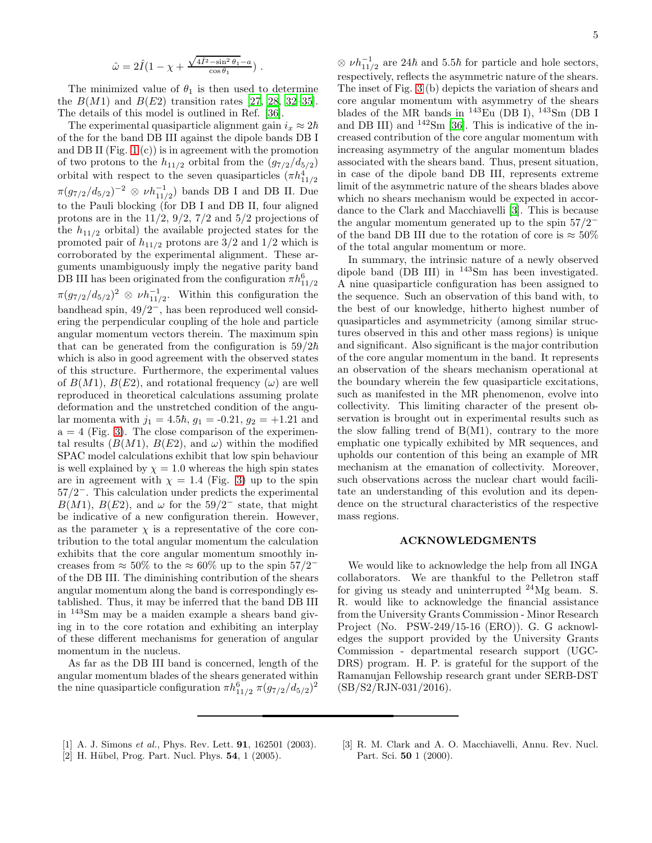$$
\hat{\omega} = 2\hat{I}(1 - \chi + \frac{\sqrt{4\hat{I}^2 - \sin^2\theta_1} - a}{\cos\theta_1}).
$$

The minimized value of  $\theta_1$  is then used to determine the  $B(M1)$  and  $B(E2)$  transition rates [\[27,](#page-5-17) [28,](#page-5-18) [32](#page-5-24)-35]. The details of this model is outlined in Ref. [\[36\]](#page-5-26).

The experimental quasiparticle alignment gain  $i_x \approx 2\hbar$ of the for the band DB III against the dipole bands DB I and DB II (Fig.  $1(c)$ ) is in agreement with the promotion of two protons to the  $h_{11/2}$  orbital from the  $(g_{7/2}/d_{5/2})$ orbital with respect to the seven quasiparticles  $(\pi h_{11/2}^4)$  $\pi(g_{7/2}/d_{5/2})^{-2} \otimes \nu h_{11/2}^{-1}$  bands DB I and DB II. Due to the Pauli blocking (for DB I and DB II, four aligned protons are in the  $11/2$ ,  $9/2$ ,  $7/2$  and  $5/2$  projections of the  $h_{11/2}$  orbital) the available projected states for the promoted pair of  $h_{11/2}$  protons are 3/2 and 1/2 which is corroborated by the experimental alignment. These arguments unambiguously imply the negative parity band DB III has been originated from the configuration  $\pi h_{11/2}^6$  $\pi(g_{7/2}/d_{5/2})^2 \otimes \nu h_{11/2}^{-1}$ . Within this configuration the bandhead spin, 49/2<sup>−</sup>, has been reproduced well considering the perpendicular coupling of the hole and particle angular momentum vectors therein. The maximum spin that can be generated from the configuration is  $59/2\hbar$ which is also in good agreement with the observed states of this structure. Furthermore, the experimental values of  $B(M1)$ ,  $B(E2)$ , and rotational frequency  $(\omega)$  are well reproduced in theoretical calculations assuming prolate deformation and the unstretched condition of the angular momenta with  $j_1 = 4.5\hbar$ ,  $g_1 = -0.21$ ,  $g_2 = +1.21$  and  $a = 4$  (Fig. [3\)](#page-3-1). The close comparison of the experimental results  $(B(M1), B(E2), \text{ and } \omega)$  within the modified SPAC model calculations exhibit that low spin behaviour is well explained by  $\chi = 1.0$  whereas the high spin states are in agreement with  $\chi = 1.4$  (Fig. [3\)](#page-3-1) up to the spin 57/2<sup>−</sup>. This calculation under predicts the experimental  $B(M1)$ ,  $B(E2)$ , and  $\omega$  for the 59/2<sup>-</sup> state, that might be indicative of a new configuration therein. However, as the parameter  $\chi$  is a representative of the core contribution to the total angular momentum the calculation exhibits that the core angular momentum smoothly increases from  $\approx 50\%$  to the  $\approx 60\%$  up to the spin  $57/2^$ of the DB III. The diminishing contribution of the shears angular momentum along the band is correspondingly established. Thus, it may be inferred that the band DB III in <sup>143</sup>Sm may be a maiden example a shears band giving in to the core rotation and exhibiting an interplay of these different mechanisms for generation of angular momentum in the nucleus.

As far as the DB III band is concerned, length of the angular momentum blades of the shears generated within the nine quasiparticle configuration  $\pi h_{11/2}^6 \pi (g_{7/2}/d_{5/2})^2$ 

 $\otimes \nu h_{11/2}^{-1}$  are 24 $\hbar$  and 5.5 $\hbar$  for particle and hole sectors, respectively, reflects the asymmetric nature of the shears. The inset of Fig. [3](#page-3-1) (b) depicts the variation of shears and core angular momentum with asymmetry of the shears blades of the MR bands in  $^{143}$ Eu (DB I),  $^{143}$ Sm (DB I and DB III) and  $142\text{Sm}$  [\[36](#page-5-26)]. This is indicative of the increased contribution of the core angular momentum with increasing asymmetry of the angular momentum blades associated with the shears band. Thus, present situation, in case of the dipole band DB III, represents extreme limit of the asymmetric nature of the shears blades above which no shears mechanism would be expected in accordance to the Clark and Macchiavelli [\[3\]](#page-4-1). This is because the angular momentum generated up to the spin  $57/2^$ of the band DB III due to the rotation of core is  $\approx 50\%$ of the total angular momentum or more.

In summary, the intrinsic nature of a newly observed dipole band (DB III) in <sup>143</sup>Sm has been investigated. A nine quasiparticle configuration has been assigned to the sequence. Such an observation of this band with, to the best of our knowledge, hitherto highest number of quasiparticles and asymmetricity (among similar structures observed in this and other mass regions) is unique and significant. Also significant is the major contribution of the core angular momentum in the band. It represents an observation of the shears mechanism operational at the boundary wherein the few quasiparticle excitations, such as manifested in the MR phenomenon, evolve into collectivity. This limiting character of the present observation is brought out in experimental results such as the slow falling trend of  $B(M1)$ , contrary to the more emphatic one typically exhibited by MR sequences, and upholds our contention of this being an example of MR mechanism at the emanation of collectivity. Moreover, such observations across the nuclear chart would facilitate an understanding of this evolution and its dependence on the structural characteristics of the respective mass regions.

## ACKNOWLEDGMENTS

We would like to acknowledge the help from all INGA collaborators. We are thankful to the Pelletron staff for giving us steady and uninterrupted  $24$ Mg beam. S. R. would like to acknowledge the financial assistance from the University Grants Commission - Minor Research Project (No. PSW-249/15-16 (ERO)). G. G acknowledges the support provided by the University Grants Commission - departmental research support (UGC-DRS) program. H. P. is grateful for the support of the Ramanujan Fellowship research grant under SERB-DST (SB/S2/RJN-031/2016).

- <span id="page-4-0"></span>[1] A. J. Simons et al., Phys. Rev. Lett. **91**, 162501 (2003).
- [2] H. Hübel, Prog. Part. Nucl. Phys. **54**, 1 (2005).
- <span id="page-4-1"></span>[3] R. M. Clark and A. O. Macchiavelli, Annu. Rev. Nucl. Part. Sci. 50 1 (2000).